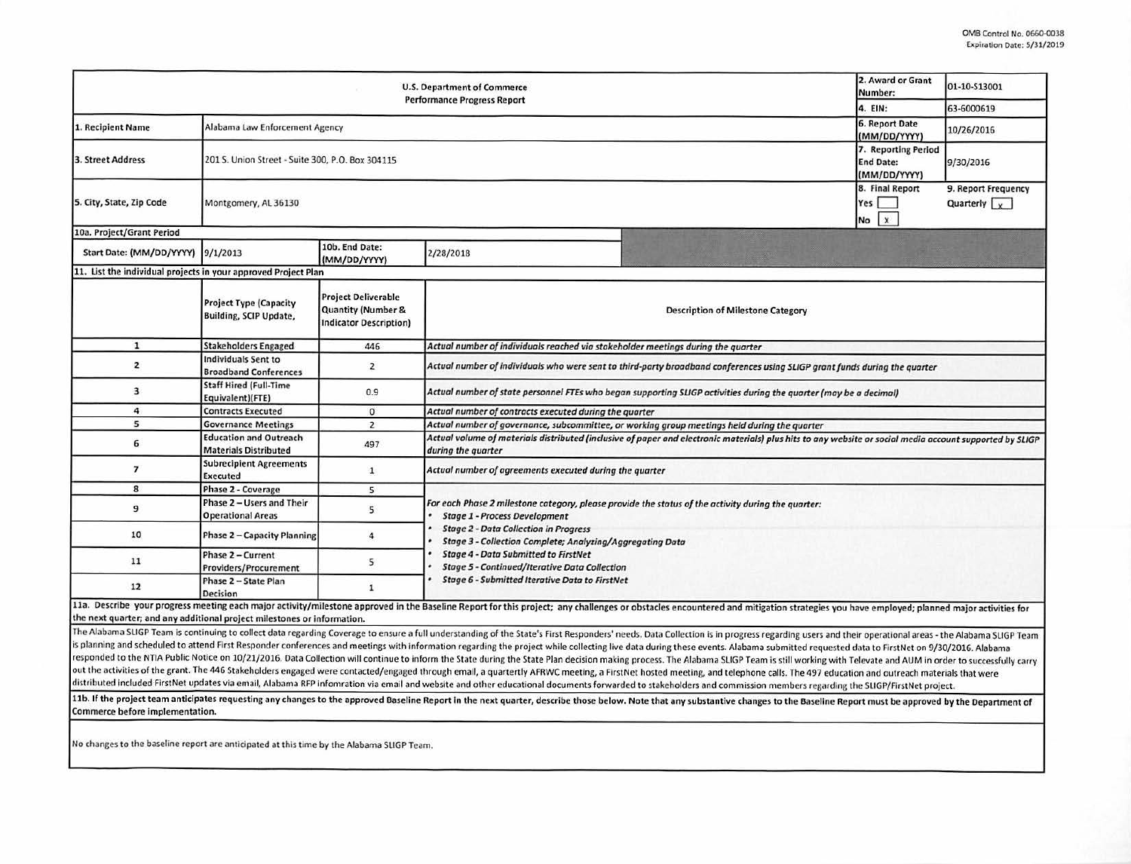| <b>U.S. Department of Commerce</b><br><b>Performance Progress Report</b> |                                                                |                                                                            |                                                                                                                                                                                |                                                                                                                                                                                                                                                                                                                                                                                                                                                                  |                                    | 01-10-513001                                |  |  |  |  |
|--------------------------------------------------------------------------|----------------------------------------------------------------|----------------------------------------------------------------------------|--------------------------------------------------------------------------------------------------------------------------------------------------------------------------------|------------------------------------------------------------------------------------------------------------------------------------------------------------------------------------------------------------------------------------------------------------------------------------------------------------------------------------------------------------------------------------------------------------------------------------------------------------------|------------------------------------|---------------------------------------------|--|--|--|--|
|                                                                          |                                                                |                                                                            |                                                                                                                                                                                |                                                                                                                                                                                                                                                                                                                                                                                                                                                                  |                                    | 63-6000619                                  |  |  |  |  |
| 1. Recipient Name                                                        | Alabama Law Enforcement Agency                                 | 4. EIN:<br>6. Report Date<br>(MM/DD/YYYY)                                  | 10/26/2016                                                                                                                                                                     |                                                                                                                                                                                                                                                                                                                                                                                                                                                                  |                                    |                                             |  |  |  |  |
| 3. Street Address                                                        | 201 S. Union Street - Suite 300, P.O. Box 304115               | 7. Reporting Period<br><b>End Date:</b><br>(MM/DD/YYYY)                    | 9/30/2016                                                                                                                                                                      |                                                                                                                                                                                                                                                                                                                                                                                                                                                                  |                                    |                                             |  |  |  |  |
| 5. City, State, Zip Code                                                 | Montgomery, AL 36130                                           |                                                                            |                                                                                                                                                                                |                                                                                                                                                                                                                                                                                                                                                                                                                                                                  | 8. Final Report<br>Yes<br>$No$ $x$ | 9. Report Frequency<br>Quarterly $\sqrt{x}$ |  |  |  |  |
| 10a. Project/Grant Period                                                |                                                                |                                                                            |                                                                                                                                                                                |                                                                                                                                                                                                                                                                                                                                                                                                                                                                  |                                    |                                             |  |  |  |  |
| Start Date: (MM/DD/YYYY) 9/1/2013                                        |                                                                | 10b. End Date:<br>(MM/DD/YYYY)                                             | 2/28/2018                                                                                                                                                                      |                                                                                                                                                                                                                                                                                                                                                                                                                                                                  |                                    |                                             |  |  |  |  |
| 11. List the individual projects in your approved Project Plan           |                                                                |                                                                            |                                                                                                                                                                                |                                                                                                                                                                                                                                                                                                                                                                                                                                                                  |                                    |                                             |  |  |  |  |
|                                                                          | <b>Project Type (Capacity</b><br><b>Building, SCIP Update,</b> | <b>Project Deliverable</b><br>Quantity (Number &<br>Indicator Description) |                                                                                                                                                                                | <b>Description of Milestone Category</b>                                                                                                                                                                                                                                                                                                                                                                                                                         |                                    |                                             |  |  |  |  |
| $\mathbf{1}$                                                             | <b>Stakeholders Engaged</b>                                    | 446                                                                        | Actual number of individuals reached via stakeholder meetings during the quarter                                                                                               |                                                                                                                                                                                                                                                                                                                                                                                                                                                                  |                                    |                                             |  |  |  |  |
| $\overline{\mathbf{2}}$                                                  | Individuals Sent to<br><b>Broadband Conferences</b>            | $\overline{2}$                                                             | Actual number of individuals who were sent to third-party broadband conferences using SLIGP grant funds during the quarter                                                     |                                                                                                                                                                                                                                                                                                                                                                                                                                                                  |                                    |                                             |  |  |  |  |
| 3                                                                        | <b>Staff Hired (Full-Time</b><br>Equivalent)(FTE)              | 0.9                                                                        | Actual number of state personnel FTEs who began supporting SLIGP activities during the quarter (may be a decimal)                                                              |                                                                                                                                                                                                                                                                                                                                                                                                                                                                  |                                    |                                             |  |  |  |  |
| 4                                                                        | <b>Contracts Executed</b>                                      | $\mathfrak{o}$                                                             | Actual number of contracts executed during the quarter                                                                                                                         |                                                                                                                                                                                                                                                                                                                                                                                                                                                                  |                                    |                                             |  |  |  |  |
| 5                                                                        | <b>Governance Meetings</b>                                     | $\overline{2}$                                                             | Actual number of governance, subcommittee, or working group meetings held during the quarter                                                                                   |                                                                                                                                                                                                                                                                                                                                                                                                                                                                  |                                    |                                             |  |  |  |  |
| 6                                                                        | <b>Education and Outreach</b><br><b>Materials Distributed</b>  | 497                                                                        | Actual volume of materials distributed (inclusive of paper and electronic materials) plus hits to any website or social media account supported by SLIGP<br>during the quarter |                                                                                                                                                                                                                                                                                                                                                                                                                                                                  |                                    |                                             |  |  |  |  |
| 7                                                                        | <b>Subrecipient Agreements</b><br><b>Executed</b>              | $\mathbf{1}$                                                               | Actual number of agreements executed during the quarter                                                                                                                        |                                                                                                                                                                                                                                                                                                                                                                                                                                                                  |                                    |                                             |  |  |  |  |
| 8                                                                        | <b>Phase 2 - Coverage</b>                                      | 5                                                                          |                                                                                                                                                                                |                                                                                                                                                                                                                                                                                                                                                                                                                                                                  |                                    |                                             |  |  |  |  |
| 9                                                                        | Phase 2 - Users and Their<br><b>Operational Areas</b>          | 5                                                                          | For each Phase 2 milestone category, please provide the status of the activity during the quarter:<br><b>Stage 1 - Process Development</b>                                     |                                                                                                                                                                                                                                                                                                                                                                                                                                                                  |                                    |                                             |  |  |  |  |
| 10                                                                       | Phase 2 - Capacity Planning                                    | $\overline{4}$                                                             | <b>Stage 2 - Data Collection in Progress</b><br>Stage 3 - Collection Complete; Analyzing/Aggregating Data                                                                      |                                                                                                                                                                                                                                                                                                                                                                                                                                                                  |                                    |                                             |  |  |  |  |
| 11                                                                       | Phase 2 - Current<br>Providers/Procurement                     | 5                                                                          | <b>Stage 4 - Data Submitted to FirstNet</b><br><b>Stage 5 - Continued/Iterative Data Collection</b><br>Stage 6 - Submitted Iterative Data to FirstNet                          |                                                                                                                                                                                                                                                                                                                                                                                                                                                                  |                                    |                                             |  |  |  |  |
| 12                                                                       | Phase 2 - State Plan<br><b>Decision</b>                        | $\mathbf{1}$                                                               |                                                                                                                                                                                |                                                                                                                                                                                                                                                                                                                                                                                                                                                                  |                                    |                                             |  |  |  |  |
| the next quarter; and any additional project milestones or information.  |                                                                |                                                                            |                                                                                                                                                                                | 11a. Describe your progress meeting each major activity/milestone approved in the Baseline Report for this project; any challenges or obstacles encountered and mitigation strategies you have employed; planned major activit                                                                                                                                                                                                                                   |                                    |                                             |  |  |  |  |
|                                                                          |                                                                |                                                                            |                                                                                                                                                                                | The Alabama SLIGP Team is continuing to collect data regarding Coverage to ensure a full understanding of the State's First Responders' needs. Data Collection is in progress regarding users and their operational areas - th<br>is planning and schooluled to attend first Personales conferences and mention with information conductive serves with collective to the state of the state of the state of the state of the state of the state of the state of |                                    |                                             |  |  |  |  |

heduled to attend First Responder conferences and meetings with information regarding the project while collecting live data during these events. Alabama submitted requested data to FirstNet on 9/30/2016. Alabama responded to the NTIA Public Notice on 10/21/2016. Data Collection will continue to inform the State during the State Plan decision making process. The Alabama SLIGP Team is still working with Televate and AUM in order to out the activities of the grant. The 446 Stakeholders engaged were contacted/engaged through email, a quartertly AFRWC meeting, a FirstNet hosted meeting, and telephone calls. The 497 education and outreach materials that distributed included FirstNet updates via email, Alabama RFP infomration via email and website and other educational documents forwarded to stakeholders and commission members regarding the SLIGP/FirstNet project.

11b. If the project team anticipates requesting any changes to the approved Baseline Report in the next quarter, describe those below. Note that any substantive changes to the Baseline Report must be approved by the Depart Commerce before Implementation.

No changes to the baseline report are anticipated at this time by the Alabama SUGP Team.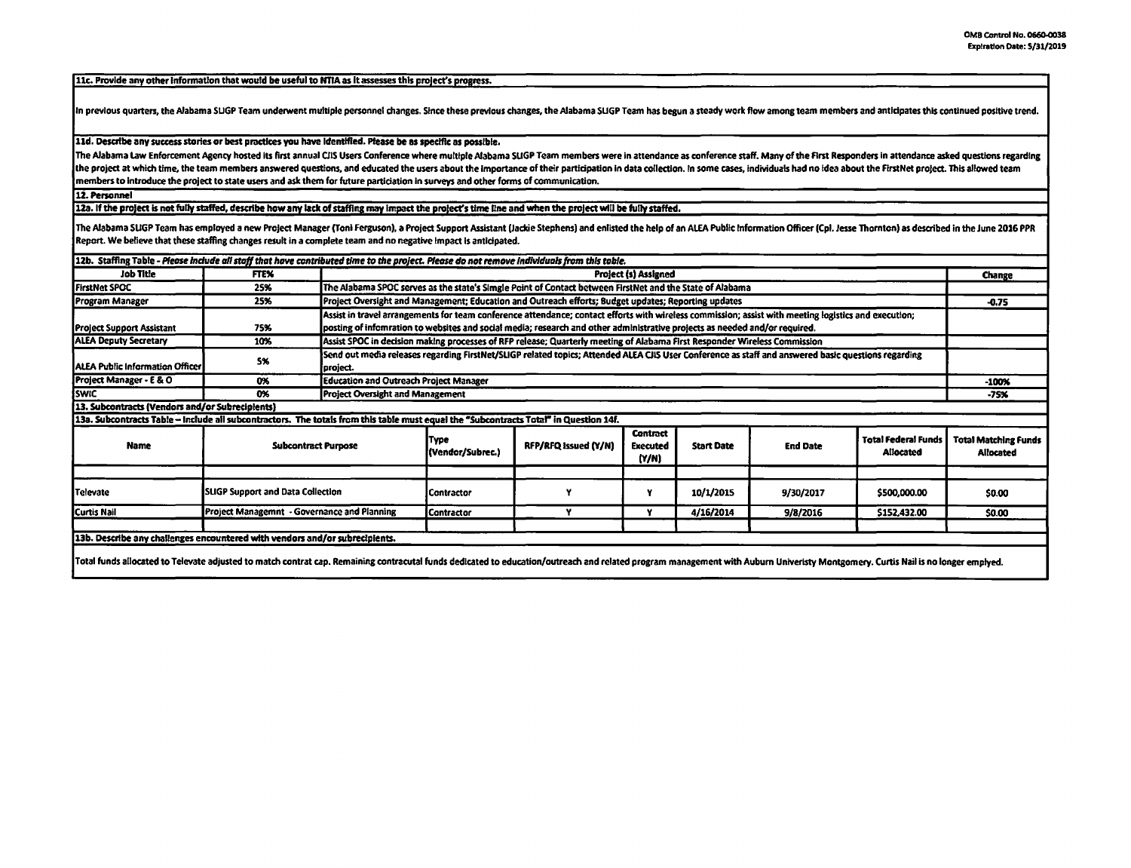11c. Provide any other information that would be useful to NTIA as it assesses this project's progress.

In previous quarters, the Alabama SLIGP Team underwent multiple personnel changes. Since these previous changes, the Alabama SLIGP Team has begun a steady work flow among team members and anticipates this continued positiv

11d. Describe any success stories or best practices you have Identified. Please **be as** speclflc as possible.

The Alabama Law Enforcement Agency hosted its first annual CIIS Users Conference where multiple Alabama SLIGP Team members were in attendance as conference staff. Many of the First Responders in attendance asked questions the project at which time, the team members answered questions, and educated the users about the importance of their participation in data collection. In some cases, individuals had no idea about the FirstNet project. This members to Introduce the project to state USffl and ask them for future partidatlon In surveys and other fonns of communication.

12. Personnel

12a. If the project is not fully staffed, describe how any lack of staffing may impact the project's time line and when the project will be fully staffed.

The Alabama SUGP Team has employed a new Project Manager (Toni Ferguson), a Project Support Assistant (Jackie Stephens) and enlisted the help of an ALEA Public Information Officer (Cpl. Jesse Thornton) as described in the Report. We believe that these staffing changes result in a complete team and no negative Impact Is anticipated.

| 12b. Staffing Table - Please include all staff that have contributed time to the project. Please do not remove individuals from this table.                                                                                    |                                             |                                                                                                                           |                                                                                                                                                      |                      |                                             |                   |                 |                                         |                                          |
|--------------------------------------------------------------------------------------------------------------------------------------------------------------------------------------------------------------------------------|---------------------------------------------|---------------------------------------------------------------------------------------------------------------------------|------------------------------------------------------------------------------------------------------------------------------------------------------|----------------------|---------------------------------------------|-------------------|-----------------|-----------------------------------------|------------------------------------------|
| Job Title                                                                                                                                                                                                                      | <b>FTEX</b>                                 |                                                                                                                           |                                                                                                                                                      |                      | <b>Project (s) Assigned</b>                 |                   |                 |                                         | Change                                   |
| <b>FirstNet SPOC</b>                                                                                                                                                                                                           | 25%                                         |                                                                                                                           | The Alabama SPOC serves as the state's Simgle Point of Contact between FirstNet and the State of Alabama                                             |                      |                                             |                   |                 |                                         |                                          |
| Program Manager                                                                                                                                                                                                                | 25%                                         |                                                                                                                           | Project Oversight and Management; Education and Outreach efforts; Budget updates; Reporting updates                                                  |                      |                                             |                   |                 |                                         |                                          |
|                                                                                                                                                                                                                                |                                             |                                                                                                                           | Assist in travel arrangements for team conference attendance; contact efforts with wireless commission; assist with meeting logistics and execution; |                      |                                             |                   |                 |                                         |                                          |
| <b>Project Support Assistant</b>                                                                                                                                                                                               | 75%                                         |                                                                                                                           | posting of infomration to websites and social media; research and other administrative projects as needed and/or required.                           |                      |                                             |                   |                 |                                         |                                          |
| <b>ALEA Deputy Secretary</b>                                                                                                                                                                                                   | 10%                                         | Assist SPOC in decision making processes of RFP release; Quarterly meeting of Alabama First Responder Wireless Commission |                                                                                                                                                      |                      |                                             |                   |                 |                                         |                                          |
| TALEA Public Information Officer I                                                                                                                                                                                             | 5%                                          | project.                                                                                                                  | Send out media releases regarding FirstNet/SLIGP related topics; Attended ALEA CJIS User Conference as staff and answered basic questions regarding  |                      |                                             |                   |                 |                                         |                                          |
| Project Manager - E & O                                                                                                                                                                                                        | 0%                                          |                                                                                                                           | <b>Education and Outreach Project Manager</b>                                                                                                        |                      |                                             |                   |                 |                                         |                                          |
| SWIC                                                                                                                                                                                                                           | 0%                                          |                                                                                                                           | <b>Project Oversight and Management</b>                                                                                                              |                      |                                             |                   |                 |                                         |                                          |
| 13. Subcontracts (Vendors and/or Subrecipients)                                                                                                                                                                                |                                             |                                                                                                                           |                                                                                                                                                      |                      |                                             |                   |                 |                                         |                                          |
| 13a. Subcontracts Table - include all subcontractors. The totals from this table must equal the "Subcontracts Total" in Question 14f.                                                                                          |                                             |                                                                                                                           |                                                                                                                                                      |                      |                                             |                   |                 |                                         |                                          |
| <b>Name</b>                                                                                                                                                                                                                    | <b>Subcontract Purpose</b>                  |                                                                                                                           | <b>Type</b><br>(Vendor/Subrec.)                                                                                                                      | RFP/RFQ Issued (Y/N) | <b>Contract</b><br><b>Executed</b><br>(Y/N) | <b>Start Date</b> | <b>End Date</b> | <b>Total Federal Funds</b><br>Allocated | <b>Total Matching Funds</b><br>Allocated |
|                                                                                                                                                                                                                                |                                             |                                                                                                                           |                                                                                                                                                      |                      |                                             |                   |                 |                                         |                                          |
| Televate                                                                                                                                                                                                                       | <b>SLIGP Support and Data Collection</b>    |                                                                                                                           | l Contractor                                                                                                                                         |                      |                                             | 10/1/2015         | 9/30/2017       | \$500,000.00                            | \$0.00                                   |
| Curtis Nail                                                                                                                                                                                                                    | Project Managemnt - Governance and Planning |                                                                                                                           | <b>Contractor</b>                                                                                                                                    | Y                    | Y                                           | 4/16/2014         | 9/8/2016        | \$152,432.00                            | \$0.00                                   |
|                                                                                                                                                                                                                                |                                             |                                                                                                                           |                                                                                                                                                      |                      |                                             |                   |                 |                                         |                                          |
| 13b. Describe any challenges encountered with vendors and/or subrecipients.                                                                                                                                                    |                                             |                                                                                                                           |                                                                                                                                                      |                      |                                             |                   |                 |                                         |                                          |
| Total funds allocated to Televate adjusted to match contrat cap. Remaining contracutal funds dedicated to education/outreach and related program management with Auburn Univeristy Montgomery. Curtis Nail is no longer emplye |                                             |                                                                                                                           |                                                                                                                                                      |                      |                                             |                   |                 |                                         |                                          |